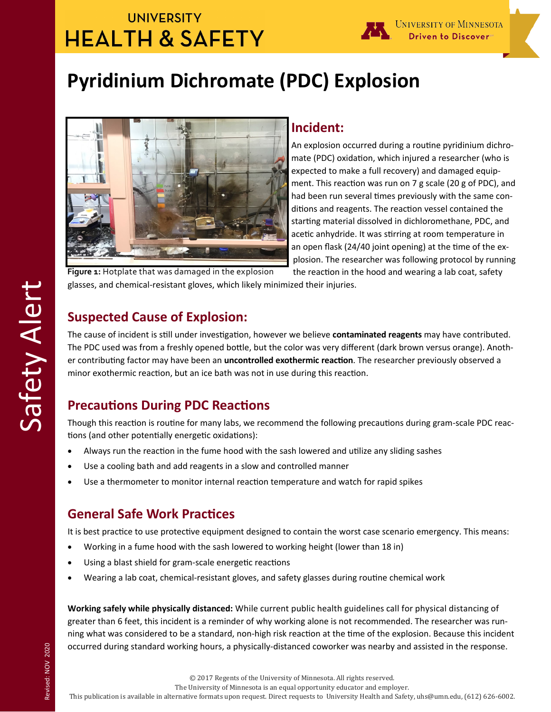## **UNIVERSITY HEALTH & SAFETY**



# **Pyridinium Dichromate (PDC) Explosion**



### **Incident:**

An explosion occurred during a routine pyridinium dichromate (PDC) oxidation, which injured a researcher (who is expected to make a full recovery) and damaged equipment. This reaction was run on 7 g scale (20 g of PDC), and had been run several times previously with the same conditions and reagents. The reaction vessel contained the starting material dissolved in dichloromethane, PDC, and acetic anhydride. It was stirring at room temperature in an open flask (24/40 joint opening) at the time of the explosion. The researcher was following protocol by running

the reaction in the hood and wearing a lab coat, safety glasses, and chemical-resistant gloves, which likely minimized their injuries. **Figure 1:** Hotplate that was damaged in the explosion

## **Suspected Cause of Explosion:**

The cause of incident is still under investigation, however we believe **contaminated reagents** may have contributed. The PDC used was from a freshly opened bottle, but the color was very different (dark brown versus orange). Another contributing factor may have been an **uncontrolled exothermic reaction**. The researcher previously observed a minor exothermic reaction, but an ice bath was not in use during this reaction.

## **Precautions During PDC Reactions**

Though this reaction is routine for many labs, we recommend the following precautions during gram-scale PDC reactions (and other potentially energetic oxidations):

- Always run the reaction in the fume hood with the sash lowered and utilize any sliding sashes
- Use a cooling bath and add reagents in a slow and controlled manner
- Use a thermometer to monitor internal reaction temperature and watch for rapid spikes

## **General Safe Work Practices**

It is best practice to use protective equipment designed to contain the worst case scenario emergency. This means:

- Working in a fume hood with the sash lowered to working height (lower than 18 in)
- Using a blast shield for gram-scale energetic reactions
- Wearing a lab coat, chemical-resistant gloves, and safety glasses during routine chemical work

**Working safely while physically distanced:** While current public health guidelines call for physical distancing of greater than 6 feet, this incident is a reminder of why working alone is not recommended. The researcher was running what was considered to be a standard, non-high risk reaction at the time of the explosion. Because this incident occurred during standard working hours, a physically-distanced coworker was nearby and assisted in the response.

The University of Minnesota is an equal opportunity educator and employer.

This publication is available in alternative formats upon request. Direct requests to University Health and Safety, uhs@umn.edu, (612) 626-6002.